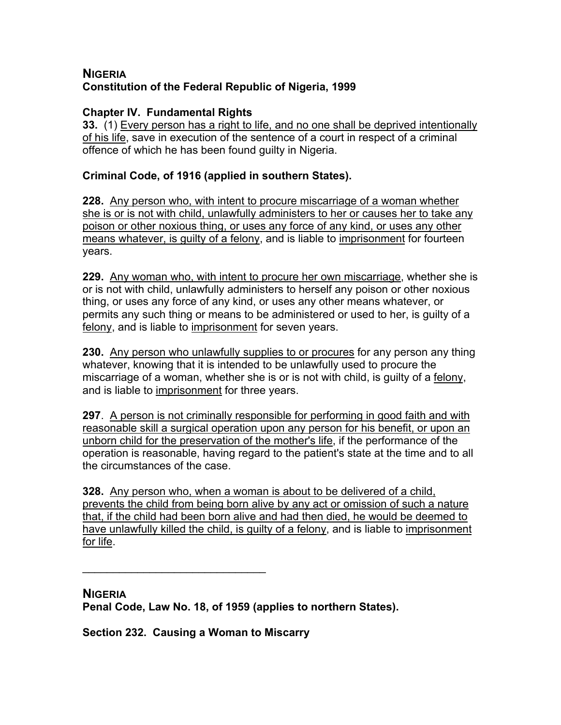# **NIGERIA Constitution of the Federal Republic of Nigeria, 1999**

### **Chapter IV. Fundamental Rights**

**33.** (1) Every person has a right to life, and no one shall be deprived intentionally of his life, save in execution of the sentence of a court in respect of a criminal offence of which he has been found guilty in Nigeria.

### **Criminal Code, of 1916 (applied in southern States).**

**228.** Any person who, with intent to procure miscarriage of a woman whether she is or is not with child, unlawfully administers to her or causes her to take any poison or other noxious thing, or uses any force of any kind, or uses any other means whatever, is guilty of a felony, and is liable to imprisonment for fourteen years.

**229.** Any woman who, with intent to procure her own miscarriage, whether she is or is not with child, unlawfully administers to herself any poison or other noxious thing, or uses any force of any kind, or uses any other means whatever, or permits any such thing or means to be administered or used to her, is guilty of a felony, and is liable to imprisonment for seven years.

**230.** Any person who unlawfully supplies to or procures for any person any thing whatever, knowing that it is intended to be unlawfully used to procure the miscarriage of a woman, whether she is or is not with child, is guilty of a felony, and is liable to imprisonment for three years.

**297**. A person is not criminally responsible for performing in good faith and with reasonable skill a surgical operation upon any person for his benefit, or upon an unborn child for the preservation of the mother's life, if the performance of the operation is reasonable, having regard to the patient's state at the time and to all the circumstances of the case.

**328.** Any person who, when a woman is about to be delivered of a child, prevents the child from being born alive by any act or omission of such a nature that, if the child had been born alive and had then died, he would be deemed to have unlawfully killed the child, is guilty of a felony, and is liable to imprisonment for life.

**NIGERIA Penal Code, Law No. 18, of 1959 (applies to northern States).** 

**Section 232. Causing a Woman to Miscarry**

 $\mathcal{L}_\text{max}$  , where  $\mathcal{L}_\text{max}$  and  $\mathcal{L}_\text{max}$